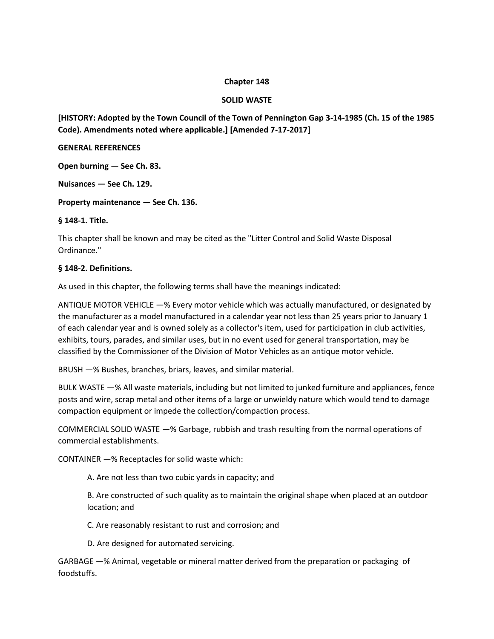### **Chapter 148**

# **SOLID WASTE**

**[HISTORY: Adopted by the Town Council of the Town of Pennington Gap 3-14-1985 (Ch. 15 of the 1985 Code). Amendments noted where applicable.] [Amended 7-17-2017]**

#### **GENERAL REFERENCES**

**Open burning — See Ch. 83.** 

**Nuisances — See Ch. 129.** 

**Property maintenance — See Ch. 136.** 

**§ 148-1. Title.** 

This chapter shall be known and may be cited as the "Litter Control and Solid Waste Disposal Ordinance."

### **§ 148-2. Definitions.**

As used in this chapter, the following terms shall have the meanings indicated:

ANTIQUE MOTOR VEHICLE —% Every motor vehicle which was actually manufactured, or designated by the manufacturer as a model manufactured in a calendar year not less than 25 years prior to January 1 of each calendar year and is owned solely as a collector's item, used for participation in club activities, exhibits, tours, parades, and similar uses, but in no event used for general transportation, may be classified by the Commissioner of the Division of Motor Vehicles as an antique motor vehicle.

BRUSH —% Bushes, branches, briars, leaves, and similar material.

BULK WASTE —% All waste materials, including but not limited to junked furniture and appliances, fence posts and wire, scrap metal and other items of a large or unwieldy nature which would tend to damage compaction equipment or impede the collection/compaction process.

COMMERCIAL SOLID WASTE —% Garbage, rubbish and trash resulting from the normal operations of commercial establishments.

CONTAINER —% Receptacles for solid waste which:

A. Are not less than two cubic yards in capacity; and

B. Are constructed of such quality as to maintain the original shape when placed at an outdoor location; and

C. Are reasonably resistant to rust and corrosion; and

D. Are designed for automated servicing.

GARBAGE —% Animal, vegetable or mineral matter derived from the preparation or packaging of foodstuffs.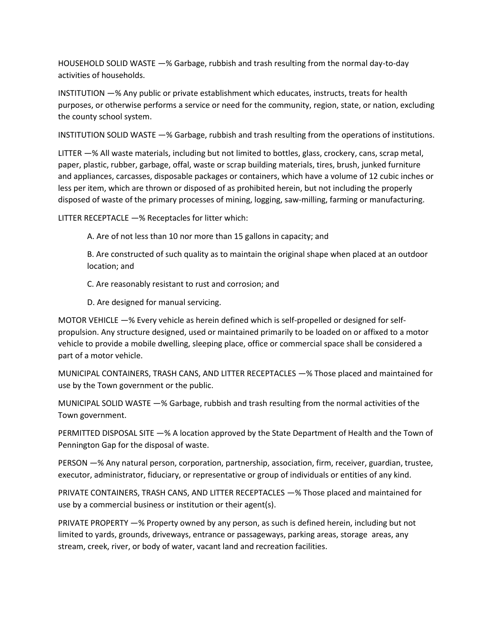HOUSEHOLD SOLID WASTE —% Garbage, rubbish and trash resulting from the normal day-to-day activities of households.

INSTITUTION —% Any public or private establishment which educates, instructs, treats for health purposes, or otherwise performs a service or need for the community, region, state, or nation, excluding the county school system.

INSTITUTION SOLID WASTE —% Garbage, rubbish and trash resulting from the operations of institutions.

LITTER —% All waste materials, including but not limited to bottles, glass, crockery, cans, scrap metal, paper, plastic, rubber, garbage, offal, waste or scrap building materials, tires, brush, junked furniture and appliances, carcasses, disposable packages or containers, which have a volume of 12 cubic inches or less per item, which are thrown or disposed of as prohibited herein, but not including the properly disposed of waste of the primary processes of mining, logging, saw-milling, farming or manufacturing.

LITTER RECEPTACLE —% Receptacles for litter which:

A. Are of not less than 10 nor more than 15 gallons in capacity; and

B. Are constructed of such quality as to maintain the original shape when placed at an outdoor location; and

C. Are reasonably resistant to rust and corrosion; and

D. Are designed for manual servicing.

MOTOR VEHICLE —% Every vehicle as herein defined which is self-propelled or designed for selfpropulsion. Any structure designed, used or maintained primarily to be loaded on or affixed to a motor vehicle to provide a mobile dwelling, sleeping place, office or commercial space shall be considered a part of a motor vehicle.

MUNICIPAL CONTAINERS, TRASH CANS, AND LITTER RECEPTACLES —% Those placed and maintained for use by the Town government or the public.

MUNICIPAL SOLID WASTE —% Garbage, rubbish and trash resulting from the normal activities of the Town government.

PERMITTED DISPOSAL SITE —% A location approved by the State Department of Health and the Town of Pennington Gap for the disposal of waste.

PERSON —% Any natural person, corporation, partnership, association, firm, receiver, guardian, trustee, executor, administrator, fiduciary, or representative or group of individuals or entities of any kind.

PRIVATE CONTAINERS, TRASH CANS, AND LITTER RECEPTACLES —% Those placed and maintained for use by a commercial business or institution or their agent(s).

PRIVATE PROPERTY —% Property owned by any person, as such is defined herein, including but not limited to yards, grounds, driveways, entrance or passageways, parking areas, storage areas, any stream, creek, river, or body of water, vacant land and recreation facilities.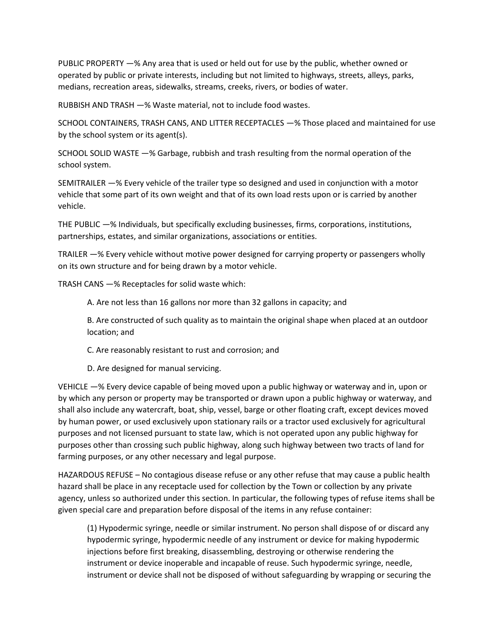PUBLIC PROPERTY —% Any area that is used or held out for use by the public, whether owned or operated by public or private interests, including but not limited to highways, streets, alleys, parks, medians, recreation areas, sidewalks, streams, creeks, rivers, or bodies of water.

RUBBISH AND TRASH —% Waste material, not to include food wastes.

SCHOOL CONTAINERS, TRASH CANS, AND LITTER RECEPTACLES —% Those placed and maintained for use by the school system or its agent(s).

SCHOOL SOLID WASTE —% Garbage, rubbish and trash resulting from the normal operation of the school system.

SEMITRAILER —% Every vehicle of the trailer type so designed and used in conjunction with a motor vehicle that some part of its own weight and that of its own load rests upon or is carried by another vehicle.

THE PUBLIC —% Individuals, but specifically excluding businesses, firms, corporations, institutions, partnerships, estates, and similar organizations, associations or entities.

TRAILER —% Every vehicle without motive power designed for carrying property or passengers wholly on its own structure and for being drawn by a motor vehicle.

TRASH CANS —% Receptacles for solid waste which:

A. Are not less than 16 gallons nor more than 32 gallons in capacity; and

B. Are constructed of such quality as to maintain the original shape when placed at an outdoor location; and

C. Are reasonably resistant to rust and corrosion; and

D. Are designed for manual servicing.

VEHICLE —% Every device capable of being moved upon a public highway or waterway and in, upon or by which any person or property may be transported or drawn upon a public highway or waterway, and shall also include any watercraft, boat, ship, vessel, barge or other floating craft, except devices moved by human power, or used exclusively upon stationary rails or a tractor used exclusively for agricultural purposes and not licensed pursuant to state law, which is not operated upon any public highway for purposes other than crossing such public highway, along such highway between two tracts of land for farming purposes, or any other necessary and legal purpose.

HAZARDOUS REFUSE – No contagious disease refuse or any other refuse that may cause a public health hazard shall be place in any receptacle used for collection by the Town or collection by any private agency, unless so authorized under this section. In particular, the following types of refuse items shall be given special care and preparation before disposal of the items in any refuse container:

(1) Hypodermic syringe, needle or similar instrument. No person shall dispose of or discard any hypodermic syringe, hypodermic needle of any instrument or device for making hypodermic injections before first breaking, disassembling, destroying or otherwise rendering the instrument or device inoperable and incapable of reuse. Such hypodermic syringe, needle, instrument or device shall not be disposed of without safeguarding by wrapping or securing the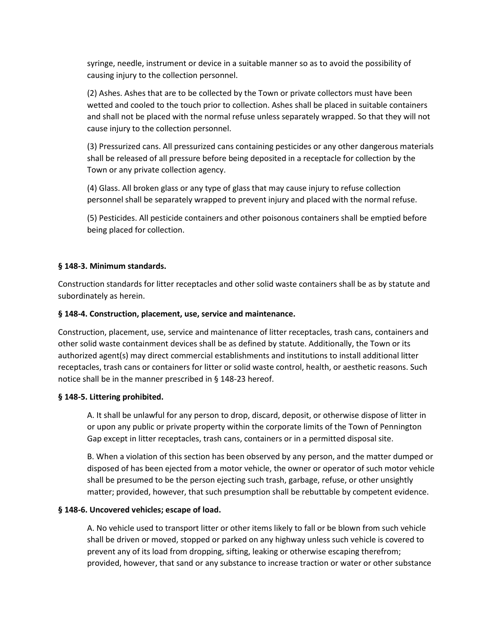syringe, needle, instrument or device in a suitable manner so as to avoid the possibility of causing injury to the collection personnel.

(2) Ashes. Ashes that are to be collected by the Town or private collectors must have been wetted and cooled to the touch prior to collection. Ashes shall be placed in suitable containers and shall not be placed with the normal refuse unless separately wrapped. So that they will not cause injury to the collection personnel.

(3) Pressurized cans. All pressurized cans containing pesticides or any other dangerous materials shall be released of all pressure before being deposited in a receptacle for collection by the Town or any private collection agency.

(4) Glass. All broken glass or any type of glass that may cause injury to refuse collection personnel shall be separately wrapped to prevent injury and placed with the normal refuse.

(5) Pesticides. All pesticide containers and other poisonous containers shall be emptied before being placed for collection.

# **§ 148-3. Minimum standards.**

Construction standards for litter receptacles and other solid waste containers shall be as by statute and subordinately as herein.

### **§ 148-4. Construction, placement, use, service and maintenance.**

Construction, placement, use, service and maintenance of litter receptacles, trash cans, containers and other solid waste containment devices shall be as defined by statute. Additionally, the Town or its authorized agent(s) may direct commercial establishments and institutions to install additional litter receptacles, trash cans or containers for litter or solid waste control, health, or aesthetic reasons. Such notice shall be in the manner prescribed in § 148-23 hereof.

### **§ 148-5. Littering prohibited.**

A. It shall be unlawful for any person to drop, discard, deposit, or otherwise dispose of litter in or upon any public or private property within the corporate limits of the Town of Pennington Gap except in litter receptacles, trash cans, containers or in a permitted disposal site.

B. When a violation of this section has been observed by any person, and the matter dumped or disposed of has been ejected from a motor vehicle, the owner or operator of such motor vehicle shall be presumed to be the person ejecting such trash, garbage, refuse, or other unsightly matter; provided, however, that such presumption shall be rebuttable by competent evidence.

### **§ 148-6. Uncovered vehicles; escape of load.**

A. No vehicle used to transport litter or other items likely to fall or be blown from such vehicle shall be driven or moved, stopped or parked on any highway unless such vehicle is covered to prevent any of its load from dropping, sifting, leaking or otherwise escaping therefrom; provided, however, that sand or any substance to increase traction or water or other substance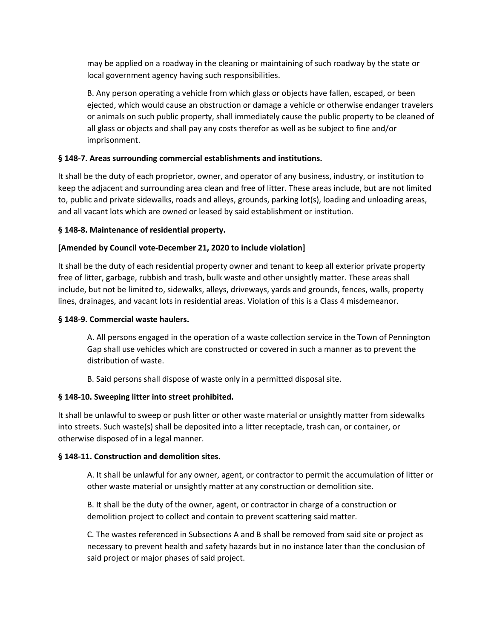may be applied on a roadway in the cleaning or maintaining of such roadway by the state or local government agency having such responsibilities.

B. Any person operating a vehicle from which glass or objects have fallen, escaped, or been ejected, which would cause an obstruction or damage a vehicle or otherwise endanger travelers or animals on such public property, shall immediately cause the public property to be cleaned of all glass or objects and shall pay any costs therefor as well as be subject to fine and/or imprisonment.

# **§ 148-7. Areas surrounding commercial establishments and institutions.**

It shall be the duty of each proprietor, owner, and operator of any business, industry, or institution to keep the adjacent and surrounding area clean and free of litter. These areas include, but are not limited to, public and private sidewalks, roads and alleys, grounds, parking lot(s), loading and unloading areas, and all vacant lots which are owned or leased by said establishment or institution.

### **§ 148-8. Maintenance of residential property.**

# **[Amended by Council vote-December 21, 2020 to include violation]**

It shall be the duty of each residential property owner and tenant to keep all exterior private property free of litter, garbage, rubbish and trash, bulk waste and other unsightly matter. These areas shall include, but not be limited to, sidewalks, alleys, driveways, yards and grounds, fences, walls, property lines, drainages, and vacant lots in residential areas. Violation of this is a Class 4 misdemeanor.

#### **§ 148-9. Commercial waste haulers.**

A. All persons engaged in the operation of a waste collection service in the Town of Pennington Gap shall use vehicles which are constructed or covered in such a manner as to prevent the distribution of waste.

B. Said persons shall dispose of waste only in a permitted disposal site.

### **§ 148-10. Sweeping litter into street prohibited.**

It shall be unlawful to sweep or push litter or other waste material or unsightly matter from sidewalks into streets. Such waste(s) shall be deposited into a litter receptacle, trash can, or container, or otherwise disposed of in a legal manner.

### **§ 148-11. Construction and demolition sites.**

A. It shall be unlawful for any owner, agent, or contractor to permit the accumulation of litter or other waste material or unsightly matter at any construction or demolition site.

B. It shall be the duty of the owner, agent, or contractor in charge of a construction or demolition project to collect and contain to prevent scattering said matter.

C. The wastes referenced in Subsections A and B shall be removed from said site or project as necessary to prevent health and safety hazards but in no instance later than the conclusion of said project or major phases of said project.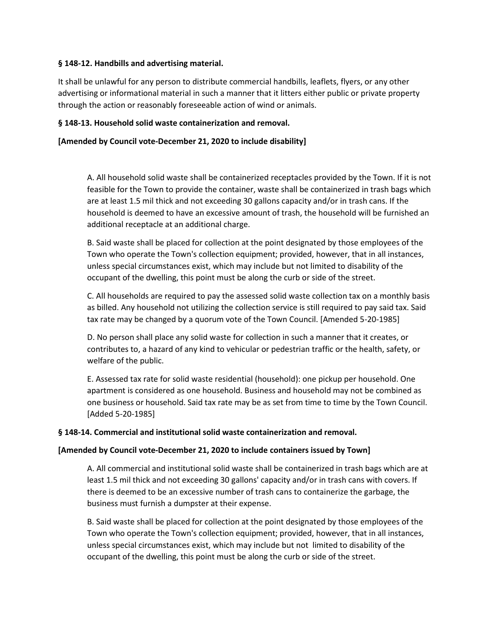### **§ 148-12. Handbills and advertising material.**

It shall be unlawful for any person to distribute commercial handbills, leaflets, flyers, or any other advertising or informational material in such a manner that it litters either public or private property through the action or reasonably foreseeable action of wind or animals.

### **§ 148-13. Household solid waste containerization and removal.**

### **[Amended by Council vote-December 21, 2020 to include disability]**

A. All household solid waste shall be containerized receptacles provided by the Town. If it is not feasible for the Town to provide the container, waste shall be containerized in trash bags which are at least 1.5 mil thick and not exceeding 30 gallons capacity and/or in trash cans. If the household is deemed to have an excessive amount of trash, the household will be furnished an additional receptacle at an additional charge.

B. Said waste shall be placed for collection at the point designated by those employees of the Town who operate the Town's collection equipment; provided, however, that in all instances, unless special circumstances exist, which may include but not limited to disability of the occupant of the dwelling, this point must be along the curb or side of the street.

C. All households are required to pay the assessed solid waste collection tax on a monthly basis as billed. Any household not utilizing the collection service is still required to pay said tax. Said tax rate may be changed by a quorum vote of the Town Council. [Amended 5-20-1985]

D. No person shall place any solid waste for collection in such a manner that it creates, or contributes to, a hazard of any kind to vehicular or pedestrian traffic or the health, safety, or welfare of the public.

E. Assessed tax rate for solid waste residential (household): one pickup per household. One apartment is considered as one household. Business and household may not be combined as one business or household. Said tax rate may be as set from time to time by the Town Council. [Added 5-20-1985]

### **§ 148-14. Commercial and institutional solid waste containerization and removal.**

### **[Amended by Council vote-December 21, 2020 to include containers issued by Town]**

A. All commercial and institutional solid waste shall be containerized in trash bags which are at least 1.5 mil thick and not exceeding 30 gallons' capacity and/or in trash cans with covers. If there is deemed to be an excessive number of trash cans to containerize the garbage, the business must furnish a dumpster at their expense.

B. Said waste shall be placed for collection at the point designated by those employees of the Town who operate the Town's collection equipment; provided, however, that in all instances, unless special circumstances exist, which may include but not limited to disability of the occupant of the dwelling, this point must be along the curb or side of the street.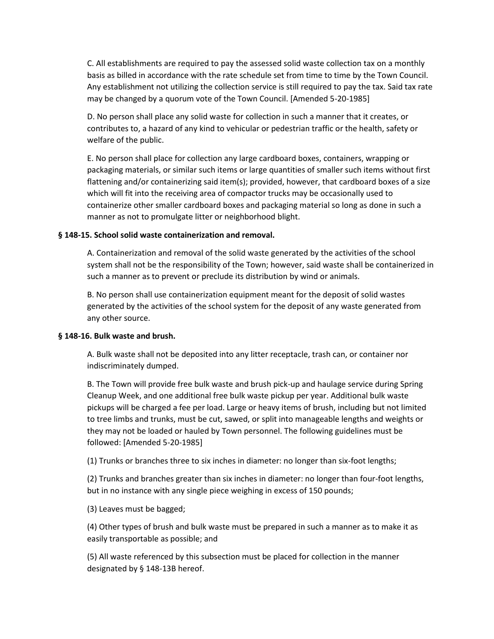C. All establishments are required to pay the assessed solid waste collection tax on a monthly basis as billed in accordance with the rate schedule set from time to time by the Town Council. Any establishment not utilizing the collection service is still required to pay the tax. Said tax rate may be changed by a quorum vote of the Town Council. [Amended 5-20-1985]

D. No person shall place any solid waste for collection in such a manner that it creates, or contributes to, a hazard of any kind to vehicular or pedestrian traffic or the health, safety or welfare of the public.

E. No person shall place for collection any large cardboard boxes, containers, wrapping or packaging materials, or similar such items or large quantities of smaller such items without first flattening and/or containerizing said item(s); provided, however, that cardboard boxes of a size which will fit into the receiving area of compactor trucks may be occasionally used to containerize other smaller cardboard boxes and packaging material so long as done in such a manner as not to promulgate litter or neighborhood blight.

#### **§ 148-15. School solid waste containerization and removal.**

A. Containerization and removal of the solid waste generated by the activities of the school system shall not be the responsibility of the Town; however, said waste shall be containerized in such a manner as to prevent or preclude its distribution by wind or animals.

B. No person shall use containerization equipment meant for the deposit of solid wastes generated by the activities of the school system for the deposit of any waste generated from any other source.

#### **§ 148-16. Bulk waste and brush.**

A. Bulk waste shall not be deposited into any litter receptacle, trash can, or container nor indiscriminately dumped.

B. The Town will provide free bulk waste and brush pick-up and haulage service during Spring Cleanup Week, and one additional free bulk waste pickup per year. Additional bulk waste pickups will be charged a fee per load. Large or heavy items of brush, including but not limited to tree limbs and trunks, must be cut, sawed, or split into manageable lengths and weights or they may not be loaded or hauled by Town personnel. The following guidelines must be followed: [Amended 5-20-1985]

(1) Trunks or branches three to six inches in diameter: no longer than six-foot lengths;

(2) Trunks and branches greater than six inches in diameter: no longer than four-foot lengths, but in no instance with any single piece weighing in excess of 150 pounds;

(3) Leaves must be bagged;

(4) Other types of brush and bulk waste must be prepared in such a manner as to make it as easily transportable as possible; and

(5) All waste referenced by this subsection must be placed for collection in the manner designated by § 148-13B hereof.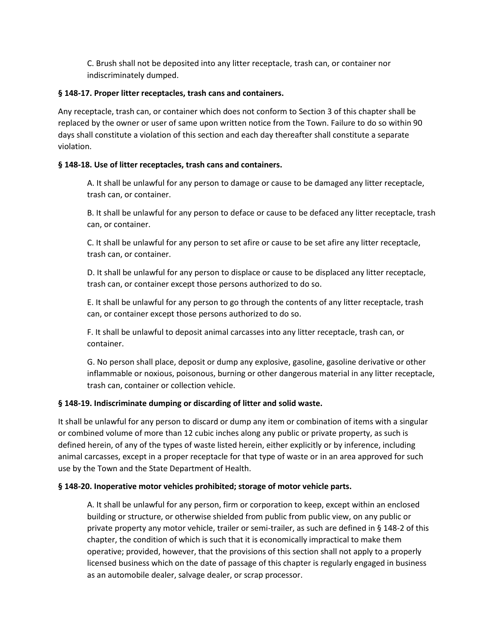C. Brush shall not be deposited into any litter receptacle, trash can, or container nor indiscriminately dumped.

# **§ 148-17. Proper litter receptacles, trash cans and containers.**

Any receptacle, trash can, or container which does not conform to Section 3 of this chapter shall be replaced by the owner or user of same upon written notice from the Town. Failure to do so within 90 days shall constitute a violation of this section and each day thereafter shall constitute a separate violation.

# **§ 148-18. Use of litter receptacles, trash cans and containers.**

A. It shall be unlawful for any person to damage or cause to be damaged any litter receptacle, trash can, or container.

B. It shall be unlawful for any person to deface or cause to be defaced any litter receptacle, trash can, or container.

C. It shall be unlawful for any person to set afire or cause to be set afire any litter receptacle, trash can, or container.

D. It shall be unlawful for any person to displace or cause to be displaced any litter receptacle, trash can, or container except those persons authorized to do so.

E. It shall be unlawful for any person to go through the contents of any litter receptacle, trash can, or container except those persons authorized to do so.

F. It shall be unlawful to deposit animal carcasses into any litter receptacle, trash can, or container.

G. No person shall place, deposit or dump any explosive, gasoline, gasoline derivative or other inflammable or noxious, poisonous, burning or other dangerous material in any litter receptacle, trash can, container or collection vehicle.

# **§ 148-19. Indiscriminate dumping or discarding of litter and solid waste.**

It shall be unlawful for any person to discard or dump any item or combination of items with a singular or combined volume of more than 12 cubic inches along any public or private property, as such is defined herein, of any of the types of waste listed herein, either explicitly or by inference, including animal carcasses, except in a proper receptacle for that type of waste or in an area approved for such use by the Town and the State Department of Health.

# **§ 148-20. Inoperative motor vehicles prohibited; storage of motor vehicle parts.**

A. It shall be unlawful for any person, firm or corporation to keep, except within an enclosed building or structure, or otherwise shielded from public from public view, on any public or private property any motor vehicle, trailer or semi-trailer, as such are defined in § 148-2 of this chapter, the condition of which is such that it is economically impractical to make them operative; provided, however, that the provisions of this section shall not apply to a properly licensed business which on the date of passage of this chapter is regularly engaged in business as an automobile dealer, salvage dealer, or scrap processor.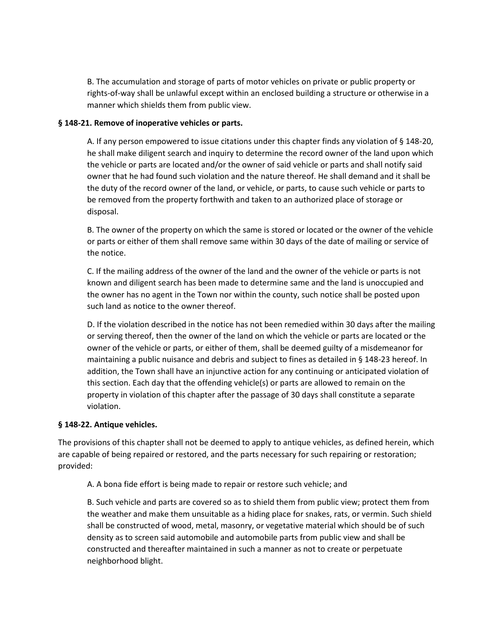B. The accumulation and storage of parts of motor vehicles on private or public property or rights-of-way shall be unlawful except within an enclosed building a structure or otherwise in a manner which shields them from public view.

### **§ 148-21. Remove of inoperative vehicles or parts.**

A. If any person empowered to issue citations under this chapter finds any violation of § 148-20, he shall make diligent search and inquiry to determine the record owner of the land upon which the vehicle or parts are located and/or the owner of said vehicle or parts and shall notify said owner that he had found such violation and the nature thereof. He shall demand and it shall be the duty of the record owner of the land, or vehicle, or parts, to cause such vehicle or parts to be removed from the property forthwith and taken to an authorized place of storage or disposal.

B. The owner of the property on which the same is stored or located or the owner of the vehicle or parts or either of them shall remove same within 30 days of the date of mailing or service of the notice.

C. If the mailing address of the owner of the land and the owner of the vehicle or parts is not known and diligent search has been made to determine same and the land is unoccupied and the owner has no agent in the Town nor within the county, such notice shall be posted upon such land as notice to the owner thereof.

D. If the violation described in the notice has not been remedied within 30 days after the mailing or serving thereof, then the owner of the land on which the vehicle or parts are located or the owner of the vehicle or parts, or either of them, shall be deemed guilty of a misdemeanor for maintaining a public nuisance and debris and subject to fines as detailed in § 148-23 hereof. In addition, the Town shall have an injunctive action for any continuing or anticipated violation of this section. Each day that the offending vehicle(s) or parts are allowed to remain on the property in violation of this chapter after the passage of 30 days shall constitute a separate violation.

### **§ 148-22. Antique vehicles.**

The provisions of this chapter shall not be deemed to apply to antique vehicles, as defined herein, which are capable of being repaired or restored, and the parts necessary for such repairing or restoration; provided:

A. A bona fide effort is being made to repair or restore such vehicle; and

B. Such vehicle and parts are covered so as to shield them from public view; protect them from the weather and make them unsuitable as a hiding place for snakes, rats, or vermin. Such shield shall be constructed of wood, metal, masonry, or vegetative material which should be of such density as to screen said automobile and automobile parts from public view and shall be constructed and thereafter maintained in such a manner as not to create or perpetuate neighborhood blight.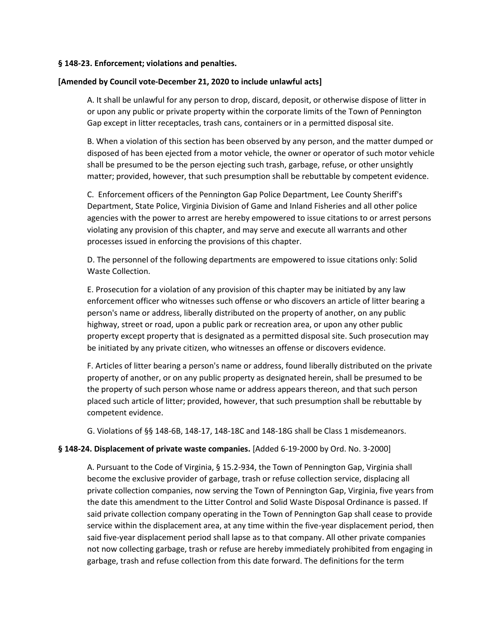#### **§ 148-23. Enforcement; violations and penalties.**

#### **[Amended by Council vote-December 21, 2020 to include unlawful acts]**

A. It shall be unlawful for any person to drop, discard, deposit, or otherwise dispose of litter in or upon any public or private property within the corporate limits of the Town of Pennington Gap except in litter receptacles, trash cans, containers or in a permitted disposal site.

B. When a violation of this section has been observed by any person, and the matter dumped or disposed of has been ejected from a motor vehicle, the owner or operator of such motor vehicle shall be presumed to be the person ejecting such trash, garbage, refuse, or other unsightly matter; provided, however, that such presumption shall be rebuttable by competent evidence.

C. Enforcement officers of the Pennington Gap Police Department, Lee County Sheriff's Department, State Police, Virginia Division of Game and Inland Fisheries and all other police agencies with the power to arrest are hereby empowered to issue citations to or arrest persons violating any provision of this chapter, and may serve and execute all warrants and other processes issued in enforcing the provisions of this chapter.

D. The personnel of the following departments are empowered to issue citations only: Solid Waste Collection.

E. Prosecution for a violation of any provision of this chapter may be initiated by any law enforcement officer who witnesses such offense or who discovers an article of litter bearing a person's name or address, liberally distributed on the property of another, on any public highway, street or road, upon a public park or recreation area, or upon any other public property except property that is designated as a permitted disposal site. Such prosecution may be initiated by any private citizen, who witnesses an offense or discovers evidence.

F. Articles of litter bearing a person's name or address, found liberally distributed on the private property of another, or on any public property as designated herein, shall be presumed to be the property of such person whose name or address appears thereon, and that such person placed such article of litter; provided, however, that such presumption shall be rebuttable by competent evidence.

G. Violations of §§ 148-6B, 148-17, 148-18C and 148-18G shall be Class 1 misdemeanors.

### **§ 148-24. Displacement of private waste companies.** [Added 6-19-2000 by Ord. No. 3-2000]

A. Pursuant to the Code of Virginia, § 15.2-934, the Town of Pennington Gap, Virginia shall become the exclusive provider of garbage, trash or refuse collection service, displacing all private collection companies, now serving the Town of Pennington Gap, Virginia, five years from the date this amendment to the Litter Control and Solid Waste Disposal Ordinance is passed. If said private collection company operating in the Town of Pennington Gap shall cease to provide service within the displacement area, at any time within the five-year displacement period, then said five-year displacement period shall lapse as to that company. All other private companies not now collecting garbage, trash or refuse are hereby immediately prohibited from engaging in garbage, trash and refuse collection from this date forward. The definitions for the term